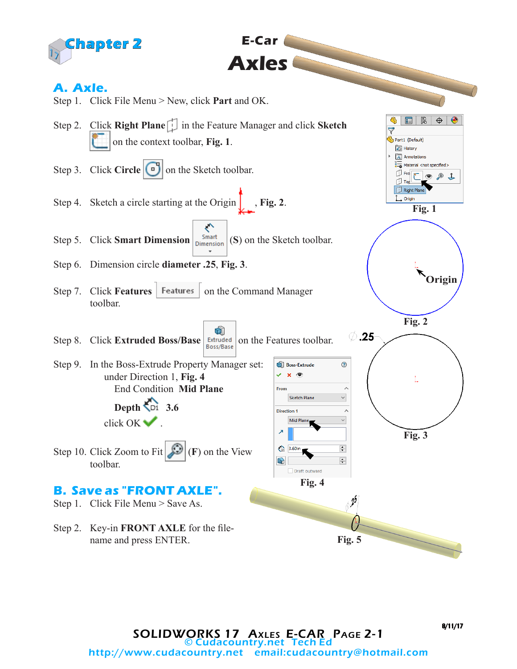



 **E-Car**

**Axles**

8/11/17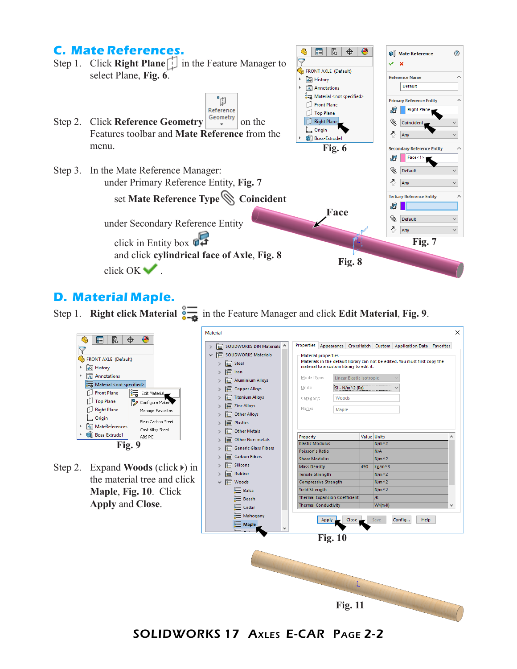# **C. Mate References.**



### **D. Material Maple.**



SOLIDWORKS 17 Axles E-CAR Page 2-2